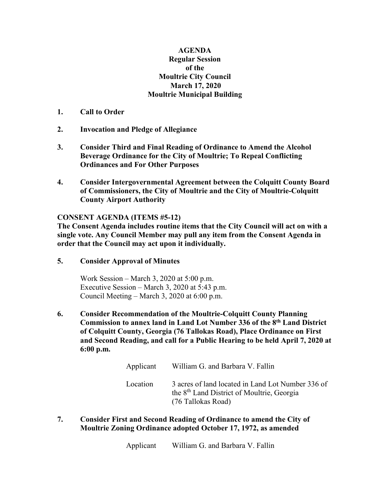## **AGENDA Regular Session of the Moultrie City Council March 17, 2020 Moultrie Municipal Building**

- **1. Call to Order**
- **2. Invocation and Pledge of Allegiance**
- **3. Consider Third and Final Reading of Ordinance to Amend the Alcohol Beverage Ordinance for the City of Moultrie; To Repeal Conflicting Ordinances and For Other Purposes**
- **4. Consider Intergovernmental Agreement between the Colquitt County Board of Commissioners, the City of Moultrie and the City of Moultrie-Colquitt County Airport Authority**

## **CONSENT AGENDA (ITEMS #5-12)**

**The Consent Agenda includes routine items that the City Council will act on with a single vote. Any Council Member may pull any item from the Consent Agenda in order that the Council may act upon it individually.**

**5. Consider Approval of Minutes**

Work Session – March 3, 2020 at 5:00 p.m. Executive Session – March 3, 2020 at 5:43 p.m. Council Meeting – March 3, 2020 at 6:00 p.m.

**6. Consider Recommendation of the Moultrie-Colquitt County Planning Commission to annex land in Land Lot Number 336 of the 8th Land District of Colquitt County, Georgia (76 Tallokas Road), Place Ordinance on First and Second Reading, and call for a Public Hearing to be held April 7, 2020 at 6:00 p.m.**

| Applicant | William G. and Barbara V. Fallin                                                                                                  |
|-----------|-----------------------------------------------------------------------------------------------------------------------------------|
| Location  | 3 acres of land located in Land Lot Number 336 of<br>the 8 <sup>th</sup> Land District of Moultrie, Georgia<br>(76 Tallokas Road) |

**7. Consider First and Second Reading of Ordinance to amend the City of Moultrie Zoning Ordinance adopted October 17, 1972, as amended**

Applicant William G. and Barbara V. Fallin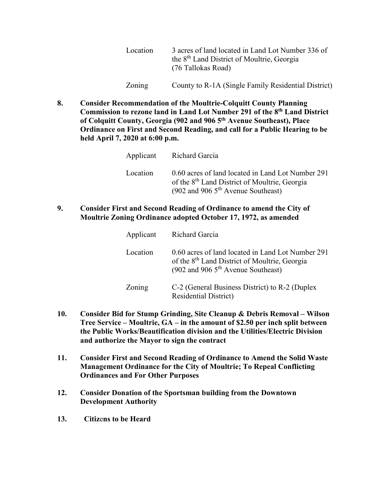| Location | 3 acres of land located in Land Lot Number 336 of<br>the 8 <sup>th</sup> Land District of Moultrie, Georgia<br>(76 Tallokas Road) |
|----------|-----------------------------------------------------------------------------------------------------------------------------------|
| Zoning   | County to R-1A (Single Family Residential District)                                                                               |

**8. Consider Recommendation of the Moultrie-Colquitt County Planning Commission to rezone land in Land Lot Number 291 of the 8th Land District of Colquitt County, Georgia (902 and 906 5th Avenue Southeast), Place Ordinance on First and Second Reading, and call for a Public Hearing to be held April 7, 2020 at 6:00 p.m.**

|          | Applicant Richard Garcia                                                                                                                               |
|----------|--------------------------------------------------------------------------------------------------------------------------------------------------------|
| Location | 0.60 acres of land located in Land Lot Number 291<br>of the 8 <sup>th</sup> Land District of Moultrie, Georgia<br>(902 and 906 $5th$ Avenue Southeast) |

## **9. Consider First and Second Reading of Ordinance to amend the City of Moultrie Zoning Ordinance adopted October 17, 1972, as amended**

| Applicant | Richard Garcia                                                                                                                                         |
|-----------|--------------------------------------------------------------------------------------------------------------------------------------------------------|
| Location  | 0.60 acres of land located in Land Lot Number 291<br>of the 8 <sup>th</sup> Land District of Moultrie, Georgia<br>(902 and 906 $5th$ Avenue Southeast) |
| Zoning    | C-2 (General Business District) to R-2 (Duplex<br><b>Residential District)</b>                                                                         |

- **10. Consider Bid for Stump Grinding, Site Cleanup & Debris Removal – Wilson Tree Service – Moultrie, GA – in the amount of \$2.50 per inch split between the Public Works/Beautification division and the Utilities/Electric Division and authorize the Mayor to sign the contract**
- **11. Consider First and Second Reading of Ordinance to Amend the Solid Waste Management Ordinance for the City of Moultrie; To Repeal Conflicting Ordinances and For Other Purposes**
- **12. Consider Donation of the Sportsman building from the Downtown Development Authority**
- **13. Citiz**e**ns to be Heard**